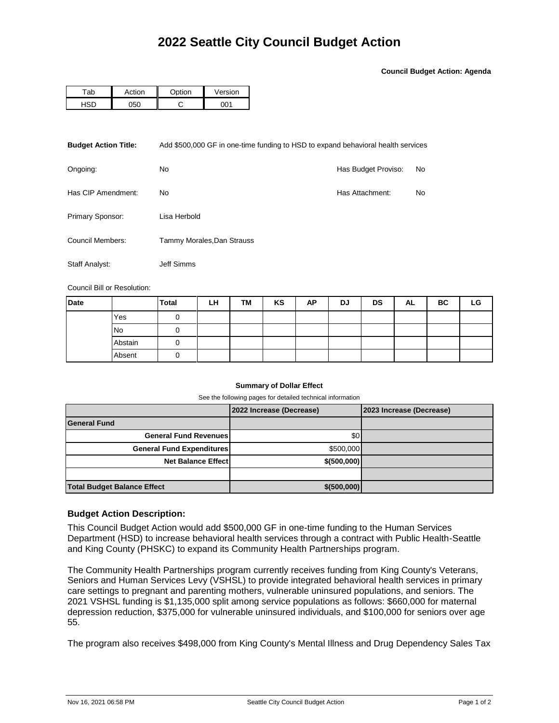**Council Budget Action: Agenda**

| -ab | ction | $\sim$ tion | ersion |  |  |
|-----|-------|-------------|--------|--|--|
|     | ۰⊏ م  |             | ነስላ    |  |  |

| <b>Budget Action Title:</b> | Add \$500,000 GF in one-time funding to HSD to expand behavioral health services |                     |    |  |  |  |
|-----------------------------|----------------------------------------------------------------------------------|---------------------|----|--|--|--|
| Ongoing:                    | No.                                                                              | Has Budget Proviso: | No |  |  |  |
| Has CIP Amendment:          | No.                                                                              | Has Attachment:     | No |  |  |  |
| Primary Sponsor:            | Lisa Herbold                                                                     |                     |    |  |  |  |
| Council Members:            | Tammy Morales, Dan Strauss                                                       |                     |    |  |  |  |
| Staff Analyst:              | Jeff Simms                                                                       |                     |    |  |  |  |

Council Bill or Resolution:

| <b>Date</b> |           | <b>Total</b> | LH | TM | KS | ΑP | DJ | <b>DS</b> | AL | ВC | LG |
|-------------|-----------|--------------|----|----|----|----|----|-----------|----|----|----|
|             | Yes       |              |    |    |    |    |    |           |    |    |    |
|             | <b>No</b> |              |    |    |    |    |    |           |    |    |    |
|             | Abstain   |              |    |    |    |    |    |           |    |    |    |
|             | Absent    | U            |    |    |    |    |    |           |    |    |    |

## **Summary of Dollar Effect**

See the following pages for detailed technical information

|                                    | 2022 Increase (Decrease) | 2023 Increase (Decrease) |
|------------------------------------|--------------------------|--------------------------|
| <b>General Fund</b>                |                          |                          |
| <b>General Fund Revenues</b>       | \$0 <sub>1</sub>         |                          |
| <b>General Fund Expenditures</b>   | \$500,000                |                          |
| <b>Net Balance Effect</b>          | \$ (500,000)             |                          |
|                                    |                          |                          |
| <b>Total Budget Balance Effect</b> | \$ (500,000)             |                          |

## **Budget Action Description:**

This Council Budget Action would add \$500,000 GF in one-time funding to the Human Services Department (HSD) to increase behavioral health services through a contract with Public Health-Seattle and King County (PHSKC) to expand its Community Health Partnerships program.

The Community Health Partnerships program currently receives funding from King County's Veterans, Seniors and Human Services Levy (VSHSL) to provide integrated behavioral health services in primary care settings to pregnant and parenting mothers, vulnerable uninsured populations, and seniors. The 2021 VSHSL funding is \$1,135,000 split among service populations as follows: \$660,000 for maternal depression reduction, \$375,000 for vulnerable uninsured individuals, and \$100,000 for seniors over age 55.

The program also receives \$498,000 from King County's Mental Illness and Drug Dependency Sales Tax